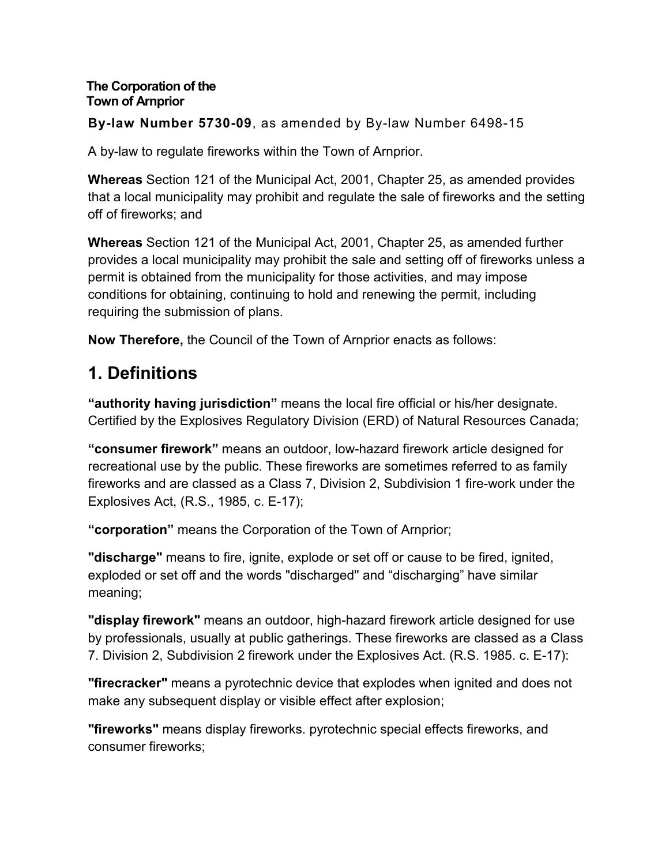#### **The Corporation of the Town of Arnprior**

**By-law Number 5730-09**, as amended by By-law Number 6498-15

A by-law to regulate fireworks within the Town of Arnprior.

**Whereas** Section 121 of the Municipal Act, 2001, Chapter 25, as amended provides that a local municipality may prohibit and regulate the sale of fireworks and the setting off of fireworks; and

**Whereas** Section 121 of the Municipal Act, 2001, Chapter 25, as amended further provides a local municipality may prohibit the sale and setting off of fireworks unless a permit is obtained from the municipality for those activities, and may impose conditions for obtaining, continuing to hold and renewing the permit, including requiring the submission of plans.

**Now Therefore,** the Council of the Town of Arnprior enacts as follows:

# **1. Definitions**

**"authority having jurisdiction"** means the local fire official or his/her designate. Certified by the Explosives Regulatory Division (ERD) of Natural Resources Canada;

**"consumer firework"** means an outdoor, low-hazard firework article designed for recreational use by the public. These fireworks are sometimes referred to as family fireworks and are classed as a Class 7, Division 2, Subdivision 1 fire-work under the Explosives Act, (R.S., 1985, c. E-17);

**"corporation"** means the Corporation of the Town of Arnprior;

**"discharge"** means to fire, ignite, explode or set off or cause to be fired, ignited, exploded or set off and the words "discharged'' and "discharging" have similar meaning;

**"display firework"** means an outdoor, high-hazard firework article designed for use by professionals, usually at public gatherings. These fireworks are classed as a Class 7. Division 2, Subdivision 2 firework under the Explosives Act. (R.S. 1985. c. E-17):

**"firecracker"** means a pyrotechnic device that explodes when ignited and does not make any subsequent display or visible effect after explosion;

**"fireworks"** means display fireworks. pyrotechnic special effects fireworks, and consumer fireworks;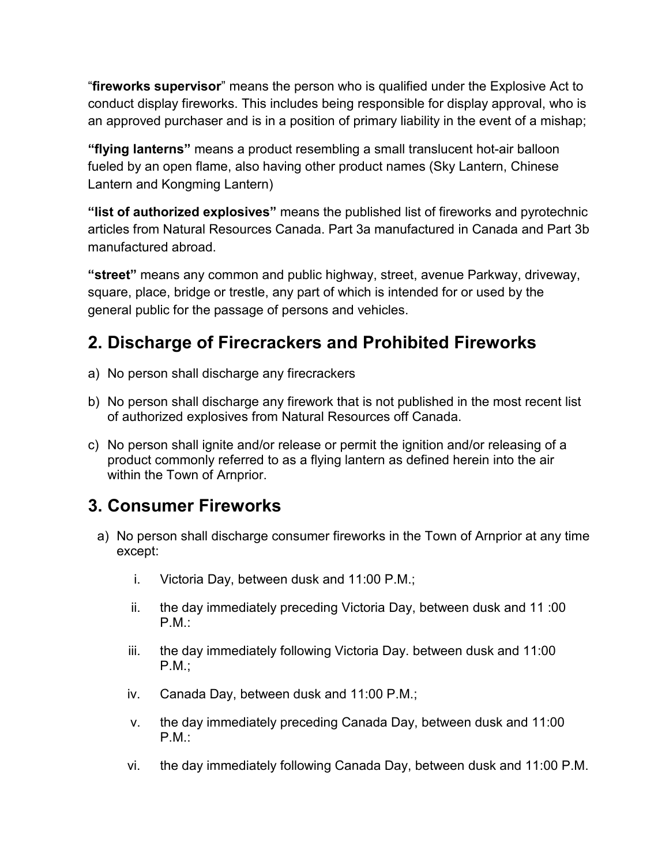"**fireworks supervisor**" means the person who is qualified under the Explosive Act to conduct display fireworks. This includes being responsible for display approval, who is an approved purchaser and is in a position of primary liability in the event of a mishap;

**"flying lanterns"** means a product resembling a small translucent hot-air balloon fueled by an open flame, also having other product names (Sky Lantern, Chinese Lantern and Kongming Lantern)

**"list of authorized explosives"** means the published list of fireworks and pyrotechnic articles from Natural Resources Canada. Part 3a manufactured in Canada and Part 3b manufactured abroad.

**"street"** means any common and public highway, street, avenue Parkway, driveway, square, place, bridge or trestle, any part of which is intended for or used by the general public for the passage of persons and vehicles.

# **2. Discharge of Firecrackers and Prohibited Fireworks**

- a) No person shall discharge any firecrackers
- b) No person shall discharge any firework that is not published in the most recent list of authorized explosives from Natural Resources off Canada.
- c) No person shall ignite and/or release or permit the ignition and/or releasing of a product commonly referred to as a flying lantern as defined herein into the air within the Town of Arnprior.

## **3. Consumer Fireworks**

- a) No person shall discharge consumer fireworks in the Town of Arnprior at any time except:
	- i. Victoria Day, between dusk and 11:00 P.M.;
	- ii. the day immediately preceding Victoria Day, between dusk and 11 :00 P.M.:
	- iii. the day immediately following Victoria Day. between dusk and 11:00 P.M.;
	- iv. Canada Day, between dusk and 11:00 P.M.;
	- v. the day immediately preceding Canada Day, between dusk and 11:00 P.M.:
	- vi. the day immediately following Canada Day, between dusk and 11:00 P.M.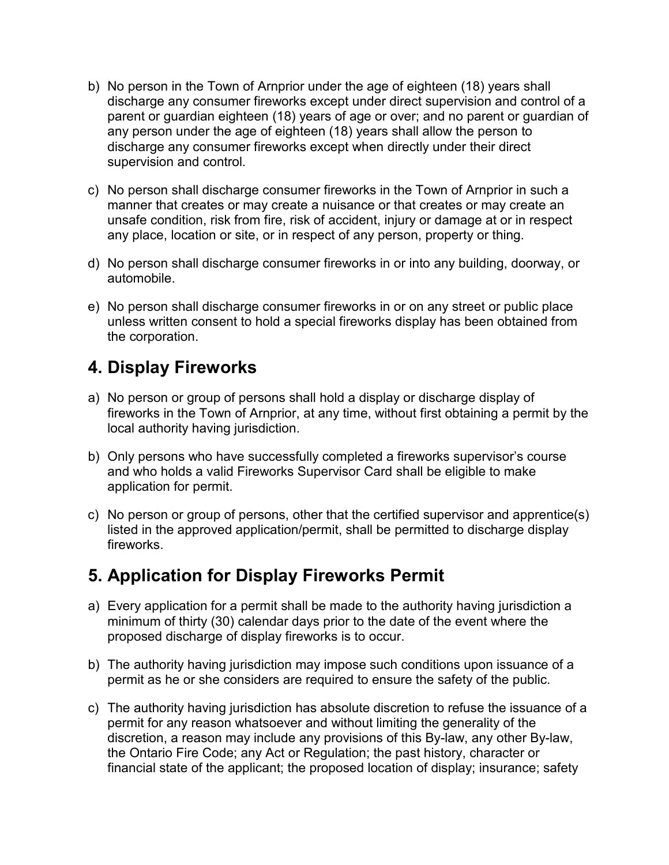- b) No person in the Town of Arnprior under the age of eighteen (18) years shall discharge any consumer fireworks except under direct supervision and control of a parent or guardian eighteen (18) years of age or over; and no parent or guardian of any person under the age of eighteen (18) years shall allow the person to discharge any consumer fireworks except when directly under their direct supervision and control.
- c) No person shall discharge consumer fireworks in the Town of Arnprior in such a manner that creates or may create a nuisance or that creates or may create an unsafe condition, risk from fire, risk of accident, injury or damage at or in respect any place, location or site, or in respect of any person, property or thing.
- d) No person shall discharge consumer fireworks in or into any building, doorway, or automobile.
- e) No person shall discharge consumer fireworks in or on any street or public place unless written consent to hold a special fireworks display has been obtained from the corporation.

### **4. Display Fireworks**

- a) No person or group of persons shall hold a display or discharge display of fireworks in the Town of Arnprior, at any time, without first obtaining a permit by the local authority having jurisdiction.
- b) Only persons who have successfully completed a fireworks supervisor's course and who holds a valid Fireworks Supervisor Card shall be eligible to make application for permit.
- c) No person or group of persons, other that the certified supervisor and apprentice(s) listed in the approved application/permit, shall be permitted to discharge display fireworks.

### **5. Application for Display Fireworks Permit**

- a) Every application for a permit shall be made to the authority having jurisdiction a minimum of thirty (30) calendar days prior to the date of the event where the proposed discharge of display fireworks is to occur.
- b) The authority having jurisdiction may impose such conditions upon issuance of a permit as he or she considers are required to ensure the safety of the public.
- c) The authority having jurisdiction has absolute discretion to refuse the issuance of a permit for any reason whatsoever and without limiting the generality of the discretion, a reason may include any provisions of this By-law, any other By-law, the Ontario Fire Code; any Act or Regulation; the past history, character or financial state of the applicant; the proposed location of display; insurance; safety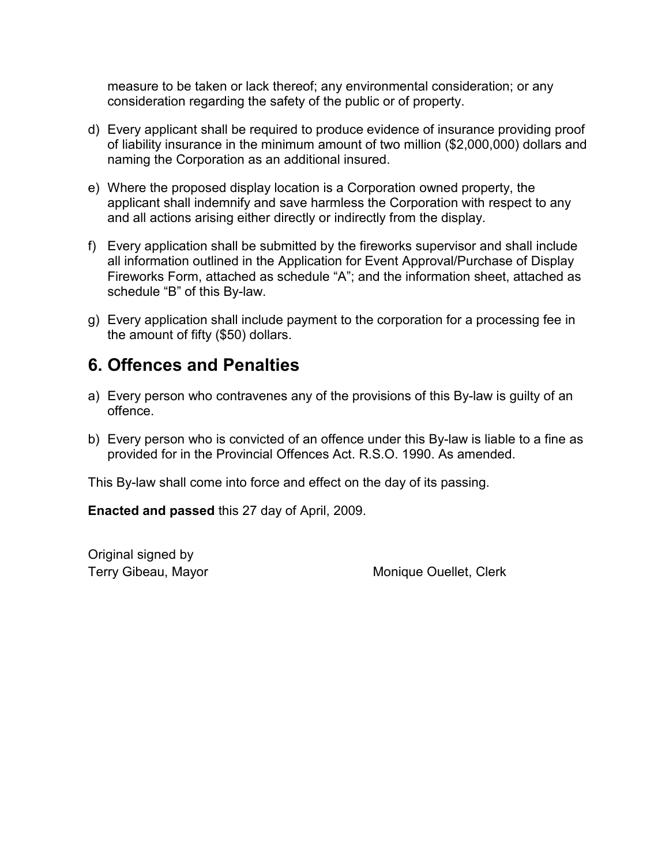measure to be taken or lack thereof; any environmental consideration; or any consideration regarding the safety of the public or of property.

- d) Every applicant shall be required to produce evidence of insurance providing proof of liability insurance in the minimum amount of two million (\$2,000,000) dollars and naming the Corporation as an additional insured.
- e) Where the proposed display location is a Corporation owned property, the applicant shall indemnify and save harmless the Corporation with respect to any and all actions arising either directly or indirectly from the display.
- f) Every application shall be submitted by the fireworks supervisor and shall include all information outlined in the Application for Event Approval/Purchase of Display Fireworks Form, attached as schedule "A"; and the information sheet, attached as schedule "B" of this By-law.
- g) Every application shall include payment to the corporation for a processing fee in the amount of fifty (\$50) dollars.

#### **6. Offences and Penalties**

- a) Every person who contravenes any of the provisions of this By-law is guilty of an offence.
- b) Every person who is convicted of an offence under this By-law is liable to a fine as provided for in the Provincial Offences Act. R.S.O. 1990. As amended.

This By-law shall come into force and effect on the day of its passing.

**Enacted and passed** this 27 day of April, 2009.

Original signed by

Terry Gibeau, Mayor **Monique Ouellet, Clerk**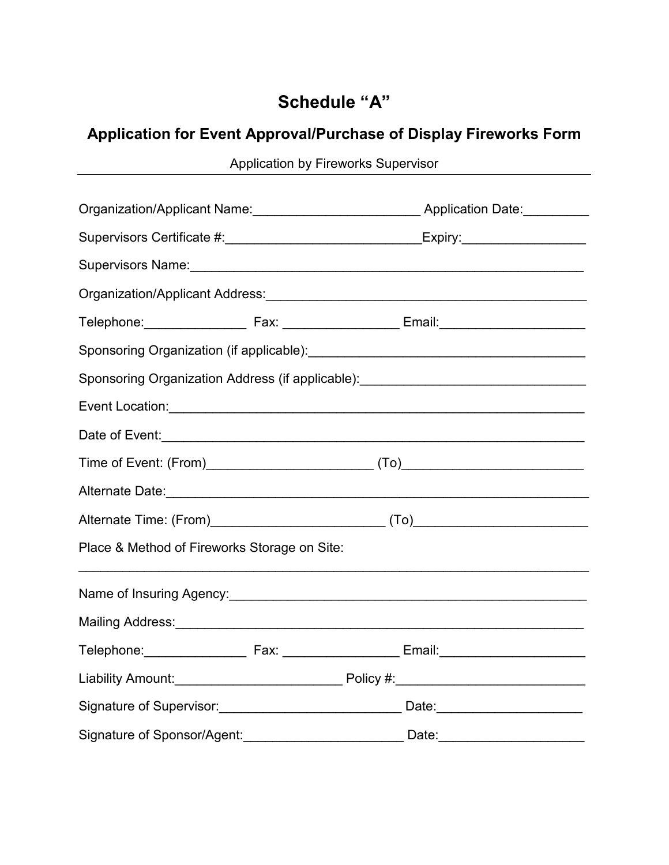### **Schedule "A"**

## **Application for Event Approval/Purchase of Display Fireworks Form**

Application by Fireworks Supervisor

| Organization/Applicant Name:____________________________Application Date:________                             |  |                                                                                                                |
|---------------------------------------------------------------------------------------------------------------|--|----------------------------------------------------------------------------------------------------------------|
|                                                                                                               |  | Supervisors Certificate #:_______________________________Expiry:________________                               |
|                                                                                                               |  |                                                                                                                |
|                                                                                                               |  |                                                                                                                |
|                                                                                                               |  | Telephone:__________________________Fax: _____________________Email:_______________________________            |
|                                                                                                               |  |                                                                                                                |
|                                                                                                               |  | Sponsoring Organization Address (if applicable): _______________________________                               |
|                                                                                                               |  |                                                                                                                |
|                                                                                                               |  |                                                                                                                |
|                                                                                                               |  |                                                                                                                |
| Alternate Date: 2008 - 2009 - 2010 - 2010 - 2010 - 2010 - 2010 - 2010 - 2010 - 2010 - 2010 - 2010 - 2010 - 20 |  |                                                                                                                |
|                                                                                                               |  |                                                                                                                |
| Place & Method of Fireworks Storage on Site:                                                                  |  |                                                                                                                |
|                                                                                                               |  | Name of Insuring Agency: Manual Communication of Insurance and The Manual Communication of Insurance and The T |
|                                                                                                               |  |                                                                                                                |
|                                                                                                               |  |                                                                                                                |
|                                                                                                               |  |                                                                                                                |
|                                                                                                               |  | Signature of Supervisor:___________________________________ Date:_______________                               |
|                                                                                                               |  | Signature of Sponsor/Agent:________________________________Date:________________                               |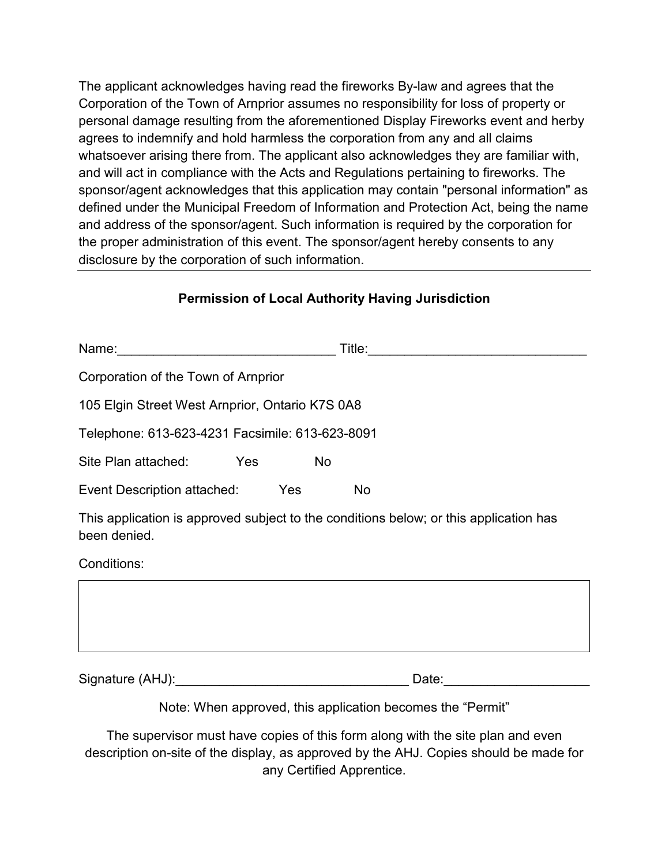The applicant acknowledges having read the fireworks By-law and agrees that the Corporation of the Town of Arnprior assumes no responsibility for loss of property or personal damage resulting from the aforementioned Display Fireworks event and herby agrees to indemnify and hold harmless the corporation from any and all claims whatsoever arising there from. The applicant also acknowledges they are familiar with, and will act in compliance with the Acts and Regulations pertaining to fireworks. The sponsor/agent acknowledges that this application may contain "personal information" as defined under the Municipal Freedom of Information and Protection Act, being the name and address of the sponsor/agent. Such information is required by the corporation for the proper administration of this event. The sponsor/agent hereby consents to any disclosure by the corporation of such information.

#### **Permission of Local Authority Having Jurisdiction**

| Corporation of the Town of Arnprior             |           |                                                                                                                                                                                                                                |  |
|-------------------------------------------------|-----------|--------------------------------------------------------------------------------------------------------------------------------------------------------------------------------------------------------------------------------|--|
| 105 Elgin Street West Arnprior, Ontario K7S 0A8 |           |                                                                                                                                                                                                                                |  |
| Telephone: 613-623-4231 Facsimile: 613-623-8091 |           |                                                                                                                                                                                                                                |  |
| Site Plan attached:                             | Yes<br>No |                                                                                                                                                                                                                                |  |
| Event Description attached: Yes                 |           | No                                                                                                                                                                                                                             |  |
| been denied.                                    |           | This application is approved subject to the conditions below; or this application has                                                                                                                                          |  |
| Conditions:                                     |           |                                                                                                                                                                                                                                |  |
|                                                 |           |                                                                                                                                                                                                                                |  |
|                                                 |           | Date: the contract of the contract of the contract of the contract of the contract of the contract of the contract of the contract of the contract of the contract of the contract of the contract of the contract of the cont |  |
|                                                 |           | Note: When approved, this application becomes the "Permit"                                                                                                                                                                     |  |
|                                                 |           | The supervisor must have copies of this form along with the site plan and even                                                                                                                                                 |  |

description on-site of the display, as approved by the AHJ. Copies should be made for any Certified Apprentice.